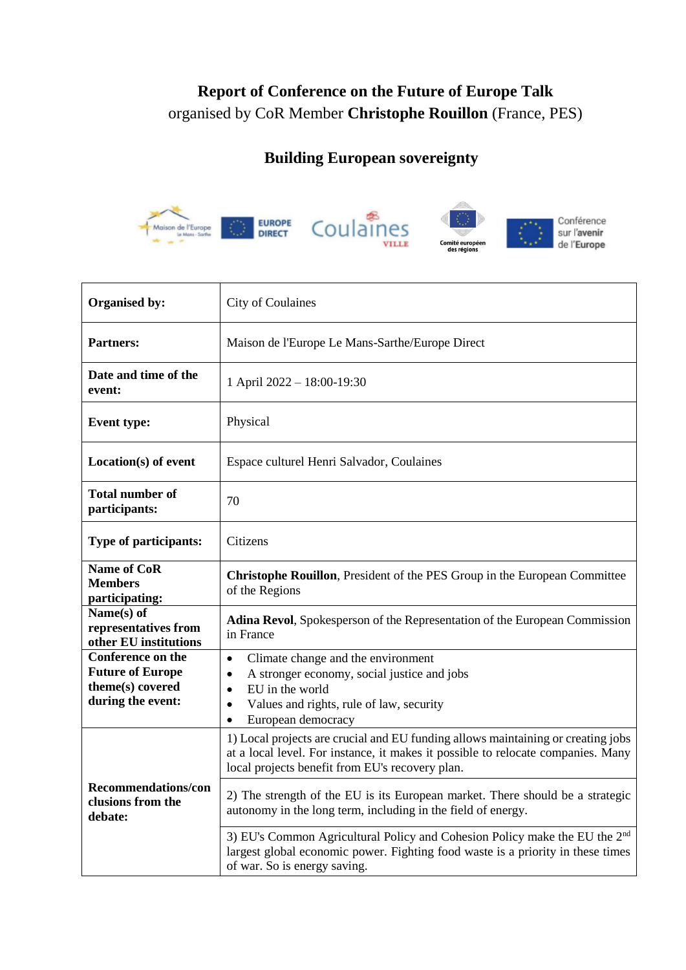## **Report of Conference on the Future of Europe Talk** organised by CoR Member **Christophe Rouillon** (France, PES)

## **Building European sovereignty**



| <b>Organised by:</b>                                                                  | City of Coulaines                                                                                                                                                                                                                       |
|---------------------------------------------------------------------------------------|-----------------------------------------------------------------------------------------------------------------------------------------------------------------------------------------------------------------------------------------|
| <b>Partners:</b>                                                                      | Maison de l'Europe Le Mans-Sarthe/Europe Direct                                                                                                                                                                                         |
| Date and time of the<br>event:                                                        | 1 April 2022 - 18:00-19:30                                                                                                                                                                                                              |
| <b>Event type:</b>                                                                    | Physical                                                                                                                                                                                                                                |
| Location(s) of event                                                                  | Espace culturel Henri Salvador, Coulaines                                                                                                                                                                                               |
| <b>Total number of</b><br>participants:                                               | 70                                                                                                                                                                                                                                      |
| Type of participants:                                                                 | Citizens                                                                                                                                                                                                                                |
| <b>Name of CoR</b><br><b>Members</b><br>participating:                                | Christophe Rouillon, President of the PES Group in the European Committee<br>of the Regions                                                                                                                                             |
| Name(s) of<br>representatives from<br>other EU institutions                           | Adina Revol, Spokesperson of the Representation of the European Commission<br>in France                                                                                                                                                 |
| Conference on the<br><b>Future of Europe</b><br>theme(s) covered<br>during the event: | Climate change and the environment<br>$\bullet$<br>A stronger economy, social justice and jobs<br>$\bullet$<br>EU in the world<br>$\bullet$<br>Values and rights, rule of law, security<br>$\bullet$<br>European democracy<br>$\bullet$ |
|                                                                                       | 1) Local projects are crucial and EU funding allows maintaining or creating jobs<br>at a local level. For instance, it makes it possible to relocate companies. Many<br>local projects benefit from EU's recovery plan.                 |
| <b>Recommendations/con</b><br>clusions from the<br>debate:                            | 2) The strength of the EU is its European market. There should be a strategic<br>autonomy in the long term, including in the field of energy.                                                                                           |
|                                                                                       | 3) EU's Common Agricultural Policy and Cohesion Policy make the EU the 2 <sup>nd</sup><br>largest global economic power. Fighting food waste is a priority in these times<br>of war. So is energy saving.                               |